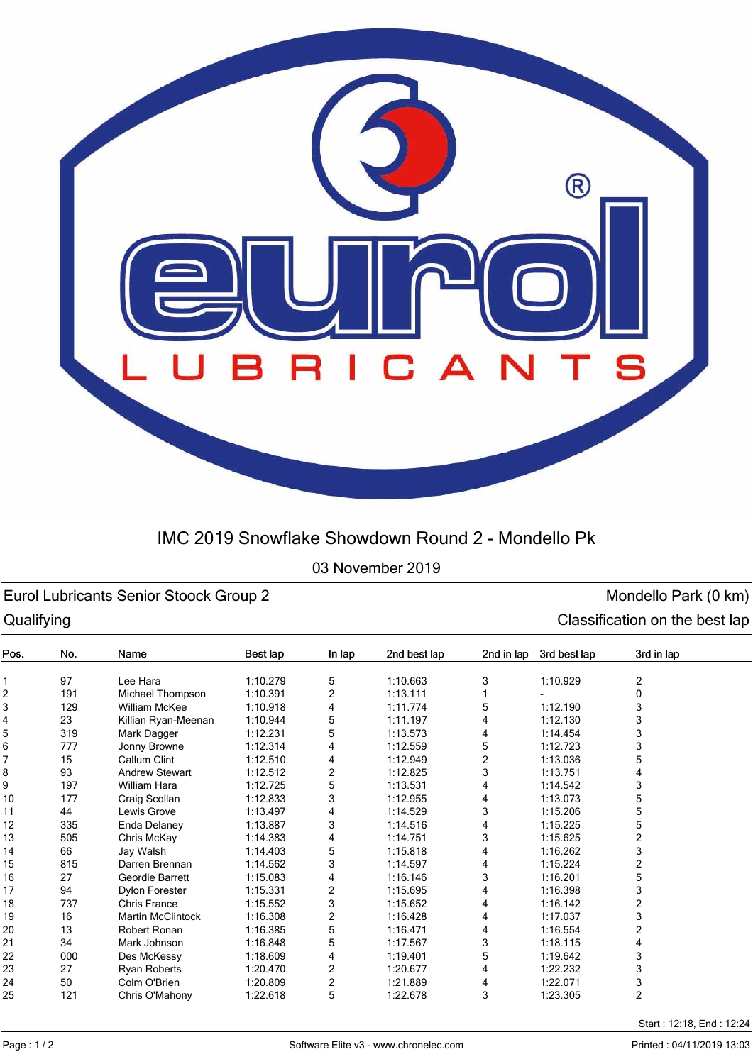

# IMC 2019 Snowflake Showdown Round 2 - Mondello Pk

## 03 November 2019

## Eurol Lubricants Senior Stoock Group 2 and Senior Stoock Group 2 monoton control of the Mondello Park (0 km) Qualifying Classification on the best lap

| ~~~…,…, |     |                          |          |                         |              |            |              |                |  |
|---------|-----|--------------------------|----------|-------------------------|--------------|------------|--------------|----------------|--|
| Pos.    | No. | Name                     | Best lap | In lap                  | 2nd best lap | 2nd in lap | 3rd best lap | 3rd in lap     |  |
|         | 97  | Lee Hara                 | 1:10.279 | 5                       | 1:10.663     | 3          | 1:10.929     | 2              |  |
| 2       | 191 | Michael Thompson         | 1:10.391 | 2                       | 1:13.111     |            |              | 0              |  |
| 3       | 129 | William McKee            | 1:10.918 | 4                       | 1:11.774     | 5          | 1:12.190     | 3              |  |
| 4       | 23  | Killian Ryan-Meenan      | 1:10.944 | 5                       | 1:11.197     |            | 1:12.130     | 3              |  |
| 5       | 319 | Mark Dagger              | 1:12.231 | 5                       | 1:13.573     | 4          | 1:14.454     | 3              |  |
| 6       | 777 | Jonny Browne             | 1:12.314 | 4                       | 1:12.559     | 5          | 1:12.723     | 3              |  |
| 7       | 15  | Callum Clint             | 1:12.510 | 4                       | 1:12.949     | 2          | 1:13.036     | 5              |  |
| 8       | 93  | <b>Andrew Stewart</b>    | 1:12.512 | 2                       | 1:12.825     | 3          | 1:13.751     | 4              |  |
| 9       | 197 | William Hara             | 1:12.725 | 5                       | 1:13.531     |            | 1:14.542     | 3              |  |
| 10      | 177 | Craig Scollan            | 1:12.833 | 3                       | 1:12.955     | 4          | 1:13.073     | 5              |  |
| 11      | 44  | Lewis Grove              | 1:13.497 | 4                       | 1:14.529     | 3          | 1:15.206     | 5              |  |
| 12      | 335 | Enda Delaney             | 1:13.887 | 3                       | 1:14.516     | 4          | 1:15.225     | 5              |  |
| 13      | 505 | Chris McKay              | 1:14.383 | 4                       | 1:14.751     | 3          | 1:15.625     | 2              |  |
| 14      | 66  | Jay Walsh                | 1:14.403 | 5                       | 1:15.818     | 4          | 1:16.262     | 3              |  |
| 15      | 815 | Darren Brennan           | 1:14.562 | 3                       | 1:14.597     | 4          | 1:15.224     | $\overline{c}$ |  |
| 16      | 27  | Geordie Barrett          | 1:15.083 | 4                       | 1:16.146     | 3          | 1:16.201     | 5              |  |
| 17      | 94  | <b>Dylon Forester</b>    | 1:15.331 | 2                       | 1:15.695     | 4          | 1:16.398     | 3              |  |
| 18      | 737 | <b>Chris France</b>      | 1:15.552 | 3                       | 1:15.652     |            | 1:16.142     | 2              |  |
| 19      | 16  | <b>Martin McClintock</b> | 1:16.308 | 2                       | 1:16.428     | 4          | 1:17.037     | 3              |  |
| 20      | 13  | Robert Ronan             | 1:16.385 | 5                       | 1:16.471     |            | 1:16.554     | 2              |  |
| 21      | 34  | Mark Johnson             | 1:16.848 | 5                       | 1:17.567     | 3          | 1:18.115     | 4              |  |
| 22      | 000 | Des McKessy              | 1:18.609 | 4                       | 1:19.401     | 5          | 1:19.642     | 3              |  |
| 23      | 27  | Ryan Roberts             | 1:20.470 | 2                       | 1:20.677     | 4          | 1:22.232     | 3              |  |
| 24      | 50  | Colm O'Brien             | 1:20.809 | $\overline{\mathbf{c}}$ | 1:21.889     | 4          | 1:22.071     | 3              |  |
| 25      | 121 | Chris O'Mahony           | 1:22.618 | 5                       | 1:22.678     | 3          | 1:23.305     | $\overline{2}$ |  |
|         |     |                          |          |                         |              |            |              |                |  |